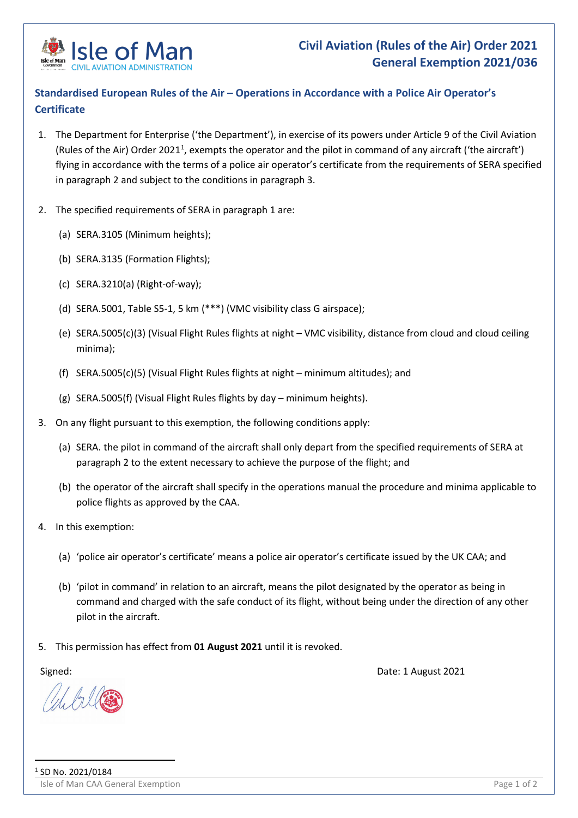

## **Standardised European Rules of the Air – Operations in Accordance with a Police Air Operator's Certificate**

- 1. The Department for Enterprise ('the Department'), in exercise of its powers under Article 9 of the Civil Aviation (Rules of the Air) Order 202[1](#page-0-0)<sup>1</sup>, exempts the operator and the pilot in command of any aircraft ('the aircraft') flying in accordance with the terms of a police air operator's certificate from the requirements of SERA specified in paragraph 2 and subject to the conditions in paragraph 3.
- 2. The specified requirements of SERA in paragraph 1 are:
	- (a) SERA.3105 (Minimum heights);
	- (b) SERA.3135 (Formation Flights);
	- (c) SERA.3210(a) (Right-of-way);
	- (d) SERA.5001, Table S5-1, 5 km (\*\*\*) (VMC visibility class G airspace);
	- (e) SERA.5005(c)(3) (Visual Flight Rules flights at night VMC visibility, distance from cloud and cloud ceiling minima);
	- (f)  $SERA.5005(c)(5)$  (Visual Flight Rules flights at night minimum altitudes); and
	- (g) SERA.5005(f) (Visual Flight Rules flights by day minimum heights).
- 3. On any flight pursuant to this exemption, the following conditions apply:
	- (a) SERA. the pilot in command of the aircraft shall only depart from the specified requirements of SERA at paragraph 2 to the extent necessary to achieve the purpose of the flight; and
	- (b) the operator of the aircraft shall specify in the operations manual the procedure and minima applicable to police flights as approved by the CAA.
- 4. In this exemption:
	- (a) 'police air operator's certificate' means a police air operator's certificate issued by the UK CAA; and
	- (b) 'pilot in command' in relation to an aircraft, means the pilot designated by the operator as being in command and charged with the safe conduct of its flight, without being under the direction of any other pilot in the aircraft.
- 5. This permission has effect from **01 August 2021** until it is revoked.

<span id="page-0-0"></span>

Signed: Date: 1 August 2021